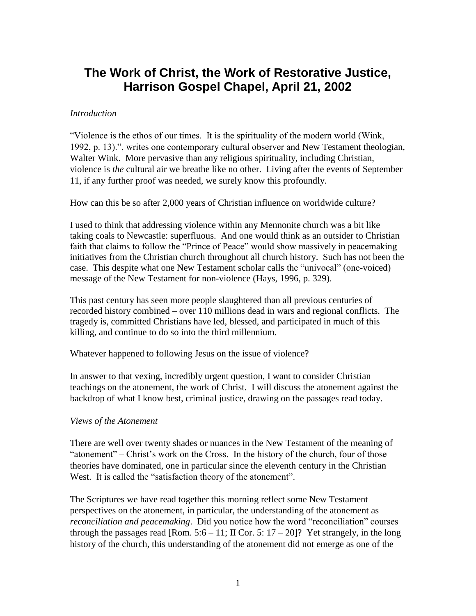# **The Work of Christ, the Work of Restorative Justice, Harrison Gospel Chapel, April 21, 2002**

## *Introduction*

"Violence is the ethos of our times. It is the spirituality of the modern world (Wink, 1992, p. 13).", writes one contemporary cultural observer and New Testament theologian, Walter Wink. More pervasive than any religious spirituality, including Christian, violence is *the* cultural air we breathe like no other. Living after the events of September 11, if any further proof was needed, we surely know this profoundly.

How can this be so after 2,000 years of Christian influence on worldwide culture?

I used to think that addressing violence within any Mennonite church was a bit like taking coals to Newcastle: superfluous. And one would think as an outsider to Christian faith that claims to follow the "Prince of Peace" would show massively in peacemaking initiatives from the Christian church throughout all church history. Such has not been the case. This despite what one New Testament scholar calls the "univocal" (one-voiced) message of the New Testament for non-violence (Hays, 1996, p. 329).

This past century has seen more people slaughtered than all previous centuries of recorded history combined – over 110 millions dead in wars and regional conflicts. The tragedy is, committed Christians have led, blessed, and participated in much of this killing, and continue to do so into the third millennium.

Whatever happened to following Jesus on the issue of violence?

In answer to that vexing, incredibly urgent question, I want to consider Christian teachings on the atonement, the work of Christ. I will discuss the atonement against the backdrop of what I know best, criminal justice, drawing on the passages read today.

### *Views of the Atonement*

There are well over twenty shades or nuances in the New Testament of the meaning of "atonement" – Christ's work on the Cross. In the history of the church, four of those theories have dominated, one in particular since the eleventh century in the Christian West. It is called the "satisfaction theory of the atonement".

The Scriptures we have read together this morning reflect some New Testament perspectives on the atonement, in particular, the understanding of the atonement as *reconciliation and peacemaking*. Did you notice how the word "reconciliation" courses through the passages read [Rom.  $5:6 - 11$ ; II Cor.  $5:17 - 20$ ]? Yet strangely, in the long history of the church, this understanding of the atonement did not emerge as one of the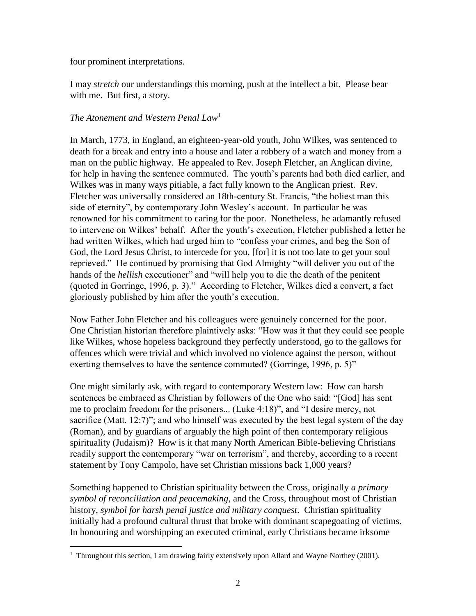four prominent interpretations.

 $\overline{a}$ 

I may *stretch* our understandings this morning, push at the intellect a bit. Please bear with me. But first, a story.

# *The Atonement and Western Penal Law<sup>1</sup>*

In March, 1773, in England, an eighteen-year-old youth, John Wilkes, was sentenced to death for a break and entry into a house and later a robbery of a watch and money from a man on the public highway. He appealed to Rev. Joseph Fletcher, an Anglican divine, for help in having the sentence commuted. The youth's parents had both died earlier, and Wilkes was in many ways pitiable, a fact fully known to the Anglican priest. Rev. Fletcher was universally considered an 18th-century St. Francis, "the holiest man this side of eternity", by contemporary John Wesley's account. In particular he was renowned for his commitment to caring for the poor. Nonetheless, he adamantly refused to intervene on Wilkes' behalf. After the youth's execution, Fletcher published a letter he had written Wilkes, which had urged him to "confess your crimes, and beg the Son of God, the Lord Jesus Christ, to intercede for you, [for] it is not too late to get your soul reprieved." He continued by promising that God Almighty "will deliver you out of the hands of the *hellish* executioner" and "will help you to die the death of the penitent (quoted in Gorringe, 1996, p. 3)." According to Fletcher, Wilkes died a convert, a fact gloriously published by him after the youth's execution.

Now Father John Fletcher and his colleagues were genuinely concerned for the poor. One Christian historian therefore plaintively asks: "How was it that they could see people like Wilkes, whose hopeless background they perfectly understood, go to the gallows for offences which were trivial and which involved no violence against the person, without exerting themselves to have the sentence commuted? (Gorringe, 1996, p. 5)"

One might similarly ask, with regard to contemporary Western law: How can harsh sentences be embraced as Christian by followers of the One who said: "[God] has sent me to proclaim freedom for the prisoners... (Luke 4:18)", and "I desire mercy, not sacrifice (Matt. 12:7)"; and who himself was executed by the best legal system of the day (Roman), and by guardians of arguably the high point of then contemporary religious spirituality (Judaism)? How is it that many North American Bible-believing Christians readily support the contemporary "war on terrorism", and thereby, according to a recent statement by Tony Campolo, have set Christian missions back 1,000 years?

Something happened to Christian spirituality between the Cross, originally *a primary symbol of reconciliation and peacemaking*, and the Cross, throughout most of Christian history, *symbol for harsh penal justice and military conquest*. Christian spirituality initially had a profound cultural thrust that broke with dominant scapegoating of victims. In honouring and worshipping an executed criminal, early Christians became irksome

<sup>&</sup>lt;sup>1</sup> Throughout this section, I am drawing fairly extensively upon Allard and Wayne Northey (2001).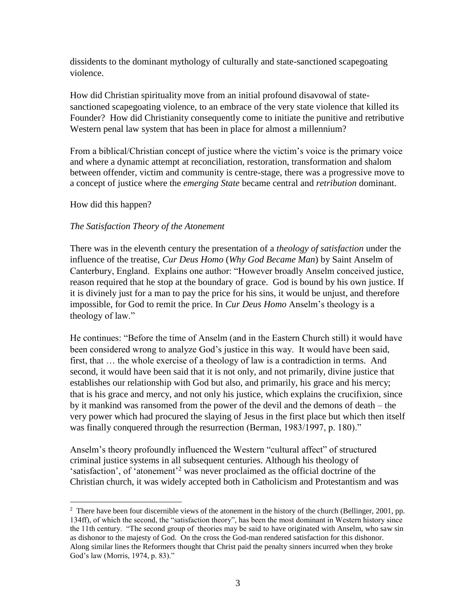dissidents to the dominant mythology of culturally and state-sanctioned scapegoating violence.

How did Christian spirituality move from an initial profound disavowal of statesanctioned scapegoating violence, to an embrace of the very state violence that killed its Founder? How did Christianity consequently come to initiate the punitive and retributive Western penal law system that has been in place for almost a millennium?

From a biblical/Christian concept of justice where the victim's voice is the primary voice and where a dynamic attempt at reconciliation, restoration, transformation and shalom between offender, victim and community is centre-stage, there was a progressive move to a concept of justice where the *emerging State* became central and *retribution* dominant.

How did this happen?

 $\overline{a}$ 

## *The Satisfaction Theory of the Atonement*

There was in the eleventh century the presentation of a *theology of satisfaction* under the influence of the treatise, *Cur Deus Homo* (*Why God Became Man*) by Saint Anselm of Canterbury, England. Explains one author: "However broadly Anselm conceived justice, reason required that he stop at the boundary of grace. God is bound by his own justice. If it is divinely just for a man to pay the price for his sins, it would be unjust, and therefore impossible, for God to remit the price. In *Cur Deus Homo* Anselm's theology is a theology of law."

He continues: "Before the time of Anselm (and in the Eastern Church still) it would have been considered wrong to analyze God's justice in this way. It would have been said, first, that … the whole exercise of a theology of law is a contradiction in terms. And second, it would have been said that it is not only, and not primarily, divine justice that establishes our relationship with God but also, and primarily, his grace and his mercy; that is his grace and mercy, and not only his justice, which explains the crucifixion, since by it mankind was ransomed from the power of the devil and the demons of death – the very power which had procured the slaying of Jesus in the first place but which then itself was finally conquered through the resurrection (Berman, 1983/1997, p. 180)."

Anselm's theory profoundly influenced the Western "cultural affect" of structured criminal justice systems in all subsequent centuries. Although his theology of 'satisfaction', of 'atonement'<sup>2</sup> was never proclaimed as the official doctrine of the Christian church, it was widely accepted both in Catholicism and Protestantism and was

<sup>&</sup>lt;sup>2</sup> There have been four discernible views of the atonement in the history of the church (Bellinger, 2001, pp. 134ff), of which the second, the "satisfaction theory", has been the most dominant in Western history since the 11th century. "The second group of theories may be said to have originated with Anselm, who saw sin as dishonor to the majesty of God. On the cross the God-man rendered satisfaction for this dishonor. Along similar lines the Reformers thought that Christ paid the penalty sinners incurred when they broke God's law (Morris, 1974, p. 83)."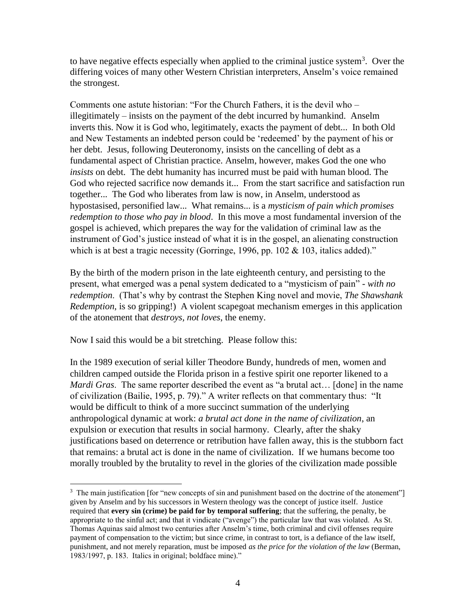to have negative effects especially when applied to the criminal justice system<sup>3</sup>. Over the differing voices of many other Western Christian interpreters, Anselm's voice remained the strongest.

Comments one astute historian: "For the Church Fathers, it is the devil who – illegitimately – insists on the payment of the debt incurred by humankind. Anselm inverts this. Now it is God who, legitimately, exacts the payment of debt... In both Old and New Testaments an indebted person could be 'redeemed' by the payment of his or her debt. Jesus, following Deuteronomy, insists on the cancelling of debt as a fundamental aspect of Christian practice. Anselm, however, makes God the one who *insists* on debt. The debt humanity has incurred must be paid with human blood. The God who rejected sacrifice now demands it... From the start sacrifice and satisfaction run together... The God who liberates from law is now, in Anselm, understood as hypostasised, personified law... What remains... is a *mysticism of pain which promises redemption to those who pay in blood*. In this move a most fundamental inversion of the gospel is achieved, which prepares the way for the validation of criminal law as the instrument of God's justice instead of what it is in the gospel, an alienating construction which is at best a tragic necessity (Gorringe, 1996, pp. 102 & 103, italics added)."

By the birth of the modern prison in the late eighteenth century, and persisting to the present, what emerged was a penal system dedicated to a "mysticism of pain" - *with no redemption*. (That's why by contrast the Stephen King novel and movie, *The Shawshank Redemption*, is so gripping!) A violent scapegoat mechanism emerges in this application of the atonement that *destroys, not loves*, the enemy.

Now I said this would be a bit stretching. Please follow this:

 $\overline{a}$ 

In the 1989 execution of serial killer Theodore Bundy, hundreds of men, women and children camped outside the Florida prison in a festive spirit one reporter likened to a *Mardi Gras*. The same reporter described the event as "a brutal act... [done] in the name of civilization (Bailie, 1995, p. 79)." A writer reflects on that commentary thus: "It would be difficult to think of a more succinct summation of the underlying anthropological dynamic at work: *a brutal act done in the name of civilization*, an expulsion or execution that results in social harmony. Clearly, after the shaky justifications based on deterrence or retribution have fallen away, this is the stubborn fact that remains: a brutal act is done in the name of civilization. If we humans become too morally troubled by the brutality to revel in the glories of the civilization made possible

<sup>&</sup>lt;sup>3</sup> The main justification [for "new concepts of sin and punishment based on the doctrine of the atonement"] given by Anselm and by his successors in Western theology was the concept of justice itself. Justice required that **every sin (crime) be paid for by temporal suffering**; that the suffering, the penalty, be appropriate to the sinful act; and that it vindicate ("avenge") the particular law that was violated. As St. Thomas Aquinas said almost two centuries after Anselm's time, both criminal and civil offenses require payment of compensation to the victim; but since crime, in contrast to tort, is a defiance of the law itself, punishment, and not merely reparation, must be imposed *as the price for the violation of the law* (Berman, 1983/1997, p. 183. Italics in original; boldface mine)."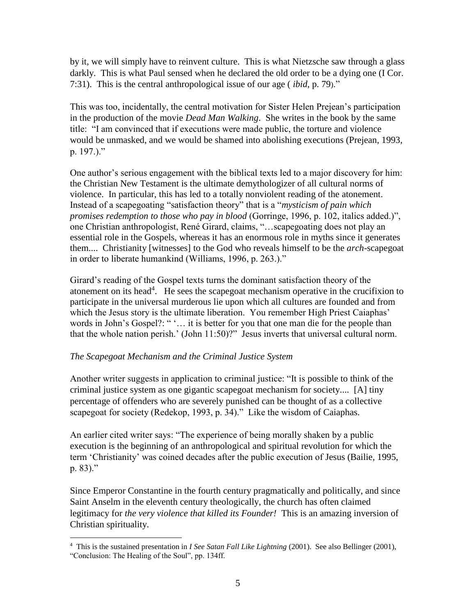by it, we will simply have to reinvent culture. This is what Nietzsche saw through a glass darkly. This is what Paul sensed when he declared the old order to be a dying one (I Cor. 7:31). This is the central anthropological issue of our age ( *ibid*, p. 79)."

This was too, incidentally, the central motivation for Sister Helen Prejean's participation in the production of the movie *Dead Man Walking*. She writes in the book by the same title: "I am convinced that if executions were made public, the torture and violence would be unmasked, and we would be shamed into abolishing executions (Prejean, 1993, p. 197.)."

One author's serious engagement with the biblical texts led to a major discovery for him: the Christian New Testament is the ultimate demythologizer of all cultural norms of violence. In particular, this has led to a totally nonviolent reading of the atonement. Instead of a scapegoating "satisfaction theory" that is a "*mysticism of pain which promises redemption to those who pay in blood* (Gorringe, 1996, p. 102, italics added.)", one Christian anthropologist, René Girard, claims, "…scapegoating does not play an essential role in the Gospels, whereas it has an enormous role in myths since it generates them.... Christianity [witnesses] to the God who reveals himself to be the *arch*-scapegoat in order to liberate humankind (Williams, 1996, p. 263.)."

Girard's reading of the Gospel texts turns the dominant satisfaction theory of the atonement on its head<sup>4</sup>. He sees the scapegoat mechanism operative in the crucifixion to participate in the universal murderous lie upon which all cultures are founded and from which the Jesus story is the ultimate liberation. You remember High Priest Caiaphas' words in John's Gospel?: " '... it is better for you that one man die for the people than that the whole nation perish.' (John 11:50)?" Jesus inverts that universal cultural norm.

# *The Scapegoat Mechanism and the Criminal Justice System*

Another writer suggests in application to criminal justice: "It is possible to think of the criminal justice system as one gigantic scapegoat mechanism for society.... [A] tiny percentage of offenders who are severely punished can be thought of as a collective scapegoat for society (Redekop, 1993, p. 34)." Like the wisdom of Caiaphas.

An earlier cited writer says: "The experience of being morally shaken by a public execution is the beginning of an anthropological and spiritual revolution for which the term 'Christianity' was coined decades after the public execution of Jesus (Bailie, 1995, p. 83)."

Since Emperor Constantine in the fourth century pragmatically and politically, and since Saint Anselm in the eleventh century theologically, the church has often claimed legitimacy for *the very violence that killed its Founder!* This is an amazing inversion of Christian spirituality.

 $\overline{a}$ 4 This is the sustained presentation in *I See Satan Fall Like Lightning* (2001). See also Bellinger (2001), "Conclusion: The Healing of the Soul", pp. 134ff.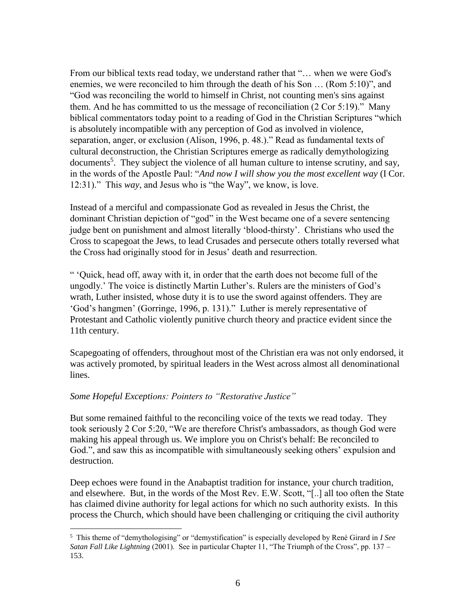From our biblical texts read today, we understand rather that "… when we were God's enemies, we were reconciled to him through the death of his Son … (Rom 5:10)", and "God was reconciling the world to himself in Christ, not counting men's sins against them. And he has committed to us the message of reconciliation (2 Cor 5:19)." Many biblical commentators today point to a reading of God in the Christian Scriptures "which is absolutely incompatible with any perception of God as involved in violence, separation, anger, or exclusion (Alison, 1996, p. 48.)." Read as fundamental texts of cultural deconstruction, the Christian Scriptures emerge as radically demythologizing documents<sup>5</sup>. They subject the violence of all human culture to intense scrutiny, and say, in the words of the Apostle Paul: "*And now I will show you the most excellent way* (I Cor. 12:31)." This *way*, and Jesus who is "the Way", we know, is love.

Instead of a merciful and compassionate God as revealed in Jesus the Christ, the dominant Christian depiction of "god" in the West became one of a severe sentencing judge bent on punishment and almost literally 'blood-thirsty'. Christians who used the Cross to scapegoat the Jews, to lead Crusades and persecute others totally reversed what the Cross had originally stood for in Jesus' death and resurrection.

" 'Quick, head off, away with it, in order that the earth does not become full of the ungodly.' The voice is distinctly Martin Luther's. Rulers are the ministers of God's wrath, Luther insisted, whose duty it is to use the sword against offenders. They are 'God's hangmen' (Gorringe, 1996, p. 131)." Luther is merely representative of Protestant and Catholic violently punitive church theory and practice evident since the 11th century.

Scapegoating of offenders, throughout most of the Christian era was not only endorsed, it was actively promoted, by spiritual leaders in the West across almost all denominational lines.

### *Some Hopeful Exceptions: Pointers to "Restorative Justice"*

But some remained faithful to the reconciling voice of the texts we read today. They took seriously 2 Cor 5:20, "We are therefore Christ's ambassadors, as though God were making his appeal through us. We implore you on Christ's behalf: Be reconciled to God.", and saw this as incompatible with simultaneously seeking others' expulsion and destruction.

Deep echoes were found in the Anabaptist tradition for instance, your church tradition, and elsewhere. But, in the words of the Most Rev. E.W. Scott, "[..] all too often the State has claimed divine authority for legal actions for which no such authority exists. In this process the Church, which should have been challenging or critiquing the civil authority

 $\overline{a}$ 5 This theme of "demythologising" or "demystification" is especially developed by René Girard in *I See Satan Fall Like Lightning* (2001). See in particular Chapter 11, "The Triumph of the Cross", pp. 137 – 153.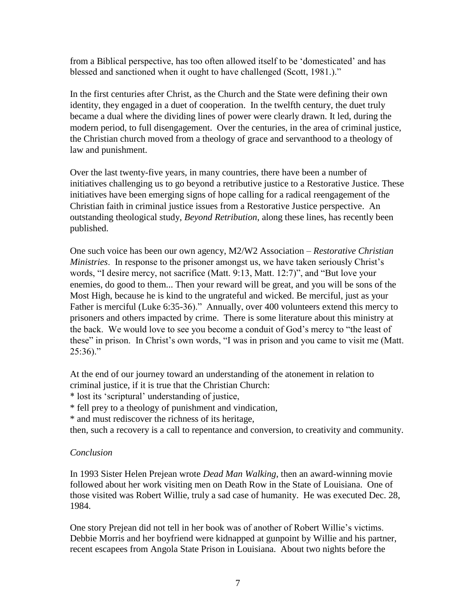from a Biblical perspective, has too often allowed itself to be 'domesticated' and has blessed and sanctioned when it ought to have challenged (Scott, 1981.)."

In the first centuries after Christ, as the Church and the State were defining their own identity, they engaged in a duet of cooperation. In the twelfth century, the duet truly became a dual where the dividing lines of power were clearly drawn. It led, during the modern period, to full disengagement. Over the centuries, in the area of criminal justice, the Christian church moved from a theology of grace and servanthood to a theology of law and punishment.

Over the last twenty-five years, in many countries, there have been a number of initiatives challenging us to go beyond a retributive justice to a Restorative Justice. These initiatives have been emerging signs of hope calling for a radical reengagement of the Christian faith in criminal justice issues from a Restorative Justice perspective. An outstanding theological study, *Beyond Retribution*, along these lines, has recently been published.

One such voice has been our own agency, M2/W2 Association – *Restorative Christian Ministries*. In response to the prisoner amongst us, we have taken seriously Christ's words, "I desire mercy, not sacrifice (Matt. 9:13, Matt. 12:7)", and "But love your enemies, do good to them... Then your reward will be great, and you will be sons of the Most High, because he is kind to the ungrateful and wicked. Be merciful, just as your Father is merciful (Luke 6:35-36)." Annually, over 400 volunteers extend this mercy to prisoners and others impacted by crime. There is some literature about this ministry at the back. We would love to see you become a conduit of God's mercy to "the least of these" in prison. In Christ's own words, "I was in prison and you came to visit me (Matt.  $25:36$ )."

At the end of our journey toward an understanding of the atonement in relation to criminal justice, if it is true that the Christian Church:

\* lost its 'scriptural' understanding of justice,

\* fell prey to a theology of punishment and vindication,

\* and must rediscover the richness of its heritage,

then, such a recovery is a call to repentance and conversion, to creativity and community.

### *Conclusion*

In 1993 Sister Helen Prejean wrote *Dead Man Walking*, then an award-winning movie followed about her work visiting men on Death Row in the State of Louisiana. One of those visited was Robert Willie, truly a sad case of humanity. He was executed Dec. 28, 1984.

One story Prejean did not tell in her book was of another of Robert Willie's victims. Debbie Morris and her boyfriend were kidnapped at gunpoint by Willie and his partner, recent escapees from Angola State Prison in Louisiana. About two nights before the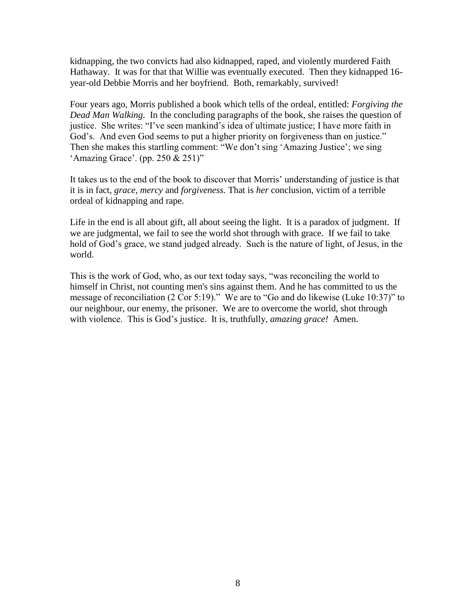kidnapping, the two convicts had also kidnapped, raped, and violently murdered Faith Hathaway. It was for that that Willie was eventually executed. Then they kidnapped 16 year-old Debbie Morris and her boyfriend. Both, remarkably, survived!

Four years ago, Morris published a book which tells of the ordeal, entitled: *Forgiving the Dead Man Walking*. In the concluding paragraphs of the book, she raises the question of justice. She writes: "I've seen mankind's idea of ultimate justice; I have more faith in God's. And even God seems to put a higher priority on forgiveness than on justice." Then she makes this startling comment: "We don't sing 'Amazing Justice'; we sing 'Amazing Grace'. (pp. 250 & 251)"

It takes us to the end of the book to discover that Morris' understanding of justice is that it is in fact, *grace, mercy* and *forgiveness.* That is *her* conclusion, victim of a terrible ordeal of kidnapping and rape.

Life in the end is all about gift, all about seeing the light. It is a paradox of judgment. If we are judgmental, we fail to see the world shot through with grace. If we fail to take hold of God's grace, we stand judged already. Such is the nature of light, of Jesus, in the world.

This is the work of God, who, as our text today says, "was reconciling the world to himself in Christ, not counting men's sins against them. And he has committed to us the message of reconciliation (2 Cor 5:19)." We are to "Go and do likewise (Luke 10:37)" to our neighbour, our enemy, the prisoner. We are to overcome the world, shot through with violence. This is God's justice. It is, truthfully, *amazing grace!* Amen.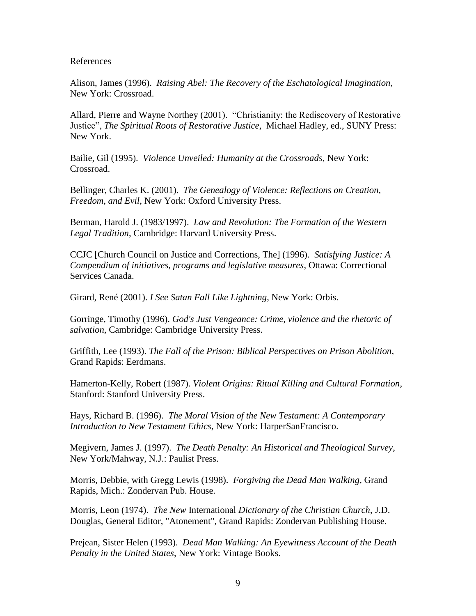References

Alison, James (1996). *Raising Abel: The Recovery of the Eschatological Imagination*, New York: Crossroad.

Allard, Pierre and Wayne Northey (2001). "Christianity: the Rediscovery of Restorative Justice", *The Spiritual Roots of Restorative Justice*, Michael Hadley, ed., SUNY Press: New York.

Bailie, Gil (1995). *Violence Unveiled: Humanity at the Crossroads*, New York: Crossroad.

Bellinger, Charles K. (2001). *The Genealogy of Violence: Reflections on Creation, Freedom, and Evil*, New York: Oxford University Press.

Berman, Harold J. (1983/1997). *Law and Revolution: The Formation of the Western Legal Tradition*, Cambridge: Harvard University Press.

CCJC [Church Council on Justice and Corrections, The] (1996). *Satisfying Justice: A Compendium of initiatives, programs and legislative measures*, Ottawa: Correctional Services Canada.

Girard, René (2001). *I See Satan Fall Like Lightning*, New York: Orbis.

Gorringe, Timothy (1996). *God's Just Vengeance: Crime, violence and the rhetoric of salvation*, Cambridge: Cambridge University Press.

Griffith, Lee (1993). *The Fall of the Prison: Biblical Perspectives on Prison Abolition*, Grand Rapids: Eerdmans.

Hamerton-Kelly, Robert (1987). *Violent Origins: Ritual Killing and Cultural Formation*, Stanford: Stanford University Press.

Hays, Richard B. (1996). *The Moral Vision of the New Testament: A Contemporary Introduction to New Testament Ethics*, New York: HarperSanFrancisco.

Megivern, James J. (1997). *The Death Penalty: An Historical and Theological Survey*, New York/Mahway, N.J.: Paulist Press.

Morris, Debbie, with Gregg Lewis (1998). *Forgiving the Dead Man Walking*, Grand Rapids, Mich.: Zondervan Pub. House.

Morris, Leon (1974). *The New* International *Dictionary of the Christian Church*, J.D. Douglas, General Editor, "Atonement", Grand Rapids: Zondervan Publishing House.

Prejean, Sister Helen (1993). *Dead Man Walking: An Eyewitness Account of the Death Penalty in the United States*, New York: Vintage Books.